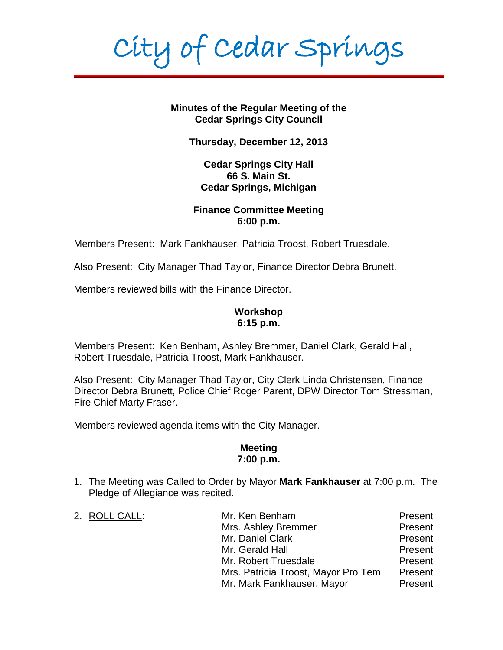City of Cedar Springs

**Minutes of the Regular Meeting of the Cedar Springs City Council**

**Thursday, December 12, 2013**

**Cedar Springs City Hall 66 S. Main St. Cedar Springs, Michigan**

### **Finance Committee Meeting 6:00 p.m.**

Members Present: Mark Fankhauser, Patricia Troost, Robert Truesdale.

Also Present: City Manager Thad Taylor, Finance Director Debra Brunett.

Members reviewed bills with the Finance Director.

### **Workshop 6:15 p.m.**

Members Present: Ken Benham, Ashley Bremmer, Daniel Clark, Gerald Hall, Robert Truesdale, Patricia Troost, Mark Fankhauser.

Also Present: City Manager Thad Taylor, City Clerk Linda Christensen, Finance Director Debra Brunett, Police Chief Roger Parent, DPW Director Tom Stressman, Fire Chief Marty Fraser.

Members reviewed agenda items with the City Manager.

### **Meeting 7:00 p.m.**

1. The Meeting was Called to Order by Mayor **Mark Fankhauser** at 7:00 p.m. The Pledge of Allegiance was recited.

| 2. ROLL CALL: | Mr. Ken Benham                      | Present |
|---------------|-------------------------------------|---------|
|               | Mrs. Ashley Bremmer                 | Present |
|               | Mr. Daniel Clark                    | Present |
|               | Mr. Gerald Hall                     | Present |
|               | Mr. Robert Truesdale                | Present |
|               | Mrs. Patricia Troost, Mayor Pro Tem | Present |
|               | Mr. Mark Fankhauser, Mayor          | Present |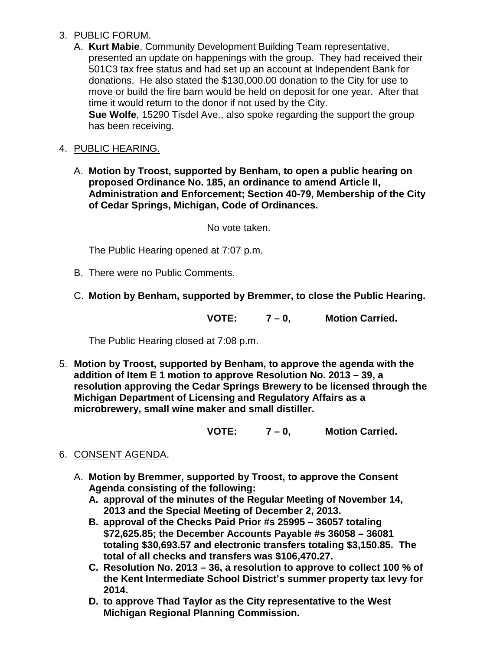## 3. PUBLIC FORUM.

A. **Kurt Mabie**, Community Development Building Team representative, presented an update on happenings with the group. They had received their 501C3 tax free status and had set up an account at Independent Bank for donations. He also stated the \$130,000.00 donation to the City for use to move or build the fire barn would be held on deposit for one year. After that time it would return to the donor if not used by the City. **Sue Wolfe**, 15290 Tisdel Ave., also spoke regarding the support the group has been receiving.

## 4. PUBLIC HEARING.

A. **Motion by Troost, supported by Benham, to open a public hearing on proposed Ordinance No. 185, an ordinance to amend Article II, Administration and Enforcement; Section 40-79, Membership of the City of Cedar Springs, Michigan, Code of Ordinances.**

No vote taken.

The Public Hearing opened at 7:07 p.m.

- B. There were no Public Comments.
- C. **Motion by Benham, supported by Bremmer, to close the Public Hearing.**

**VOTE: 7 – 0, Motion Carried.**

The Public Hearing closed at 7:08 p.m.

5. **Motion by Troost, supported by Benham, to approve the agenda with the addition of Item E 1 motion to approve Resolution No. 2013 – 39, a resolution approving the Cedar Springs Brewery to be licensed through the Michigan Department of Licensing and Regulatory Affairs as a microbrewery, small wine maker and small distiller.**

**VOTE: 7 – 0, Motion Carried.**

# 6. CONSENT AGENDA.

- A. **Motion by Bremmer, supported by Troost, to approve the Consent Agenda consisting of the following:**
	- **A. approval of the minutes of the Regular Meeting of November 14, 2013 and the Special Meeting of December 2, 2013.**
	- **B. approval of the Checks Paid Prior #s 25995 – 36057 totaling \$72,625.85; the December Accounts Payable #s 36058 – 36081 totaling \$30,693.57 and electronic transfers totaling \$3,150.85. The total of all checks and transfers was \$106,470.27.**
	- **C. Resolution No. 2013 – 36, a resolution to approve to collect 100 % of the Kent Intermediate School District's summer property tax levy for 2014.**
	- **D. to approve Thad Taylor as the City representative to the West Michigan Regional Planning Commission.**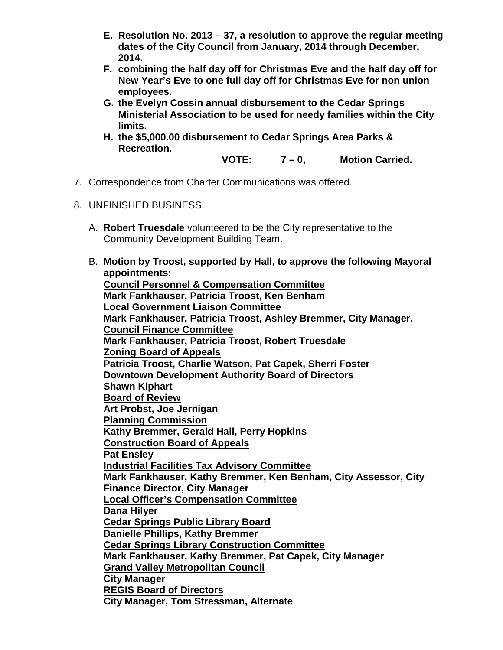- **E. Resolution No. 2013 – 37, a resolution to approve the regular meeting dates of the City Council from January, 2014 through December, 2014.**
- **F. combining the half day off for Christmas Eve and the half day off for New Year's Eve to one full day off for Christmas Eve for non union employees.**
- **G. the Evelyn Cossin annual disbursement to the Cedar Springs Ministerial Association to be used for needy families within the City limits.**
- **H. the \$5,000.00 disbursement to Cedar Springs Area Parks & Recreation.**
	- **VOTE: 7 – 0, Motion Carried.**
- 7. Correspondence from Charter Communications was offered.
- 8. UNFINISHED BUSINESS.
	- A. **Robert Truesdale** volunteered to be the City representative to the Community Development Building Team.
	- B. **Motion by Troost, supported by Hall, to approve the following Mayoral appointments: Council Personnel & Compensation Committee Mark Fankhauser, Patricia Troost, Ken Benham Local Government Liaison Committee Mark Fankhauser, Patricia Troost, Ashley Bremmer, City Manager. Council Finance Committee Mark Fankhauser, Patricia Troost, Robert Truesdale Zoning Board of Appeals Patricia Troost, Charlie Watson, Pat Capek, Sherri Foster Downtown Development Authority Board of Directors Shawn Kiphart Board of Review Art Probst, Joe Jernigan Planning Commission Kathy Bremmer, Gerald Hall, Perry Hopkins Construction Board of Appeals Pat Ensley Industrial Facilities Tax Advisory Committee Mark Fankhauser, Kathy Bremmer, Ken Benham, City Assessor, City Finance Director, City Manager Local Officer's Compensation Committee Dana Hilyer Cedar Springs Public Library Board Danielle Phillips, Kathy Bremmer Cedar Springs Library Construction Committee Mark Fankhauser, Kathy Bremmer, Pat Capek, City Manager Grand Valley Metropolitan Council City Manager REGIS Board of Directors City Manager, Tom Stressman, Alternate**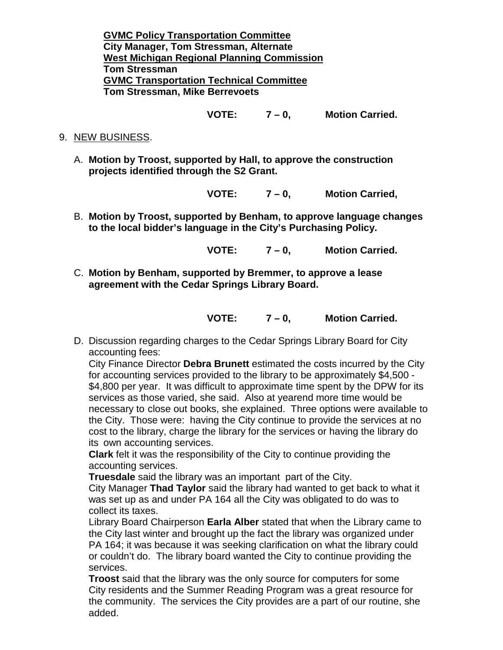**GVMC Policy Transportation Committee City Manager, Tom Stressman, Alternate West Michigan Regional Planning Commission Tom Stressman GVMC Transportation Technical Committee Tom Stressman, Mike Berrevoets**

**VOTE: 7 – 0, Motion Carried.**

- 9. NEW BUSINESS.
	- A. **Motion by Troost, supported by Hall, to approve the construction projects identified through the S2 Grant.**

**VOTE: 7 – 0, Motion Carried,**

B. **Motion by Troost, supported by Benham, to approve language changes to the local bidder's language in the City's Purchasing Policy.**

**VOTE: 7 – 0, Motion Carried.**

C. **Motion by Benham, supported by Bremmer, to approve a lease agreement with the Cedar Springs Library Board.**

**VOTE: 7 – 0, Motion Carried.**

D. Discussion regarding charges to the Cedar Springs Library Board for City accounting fees:

City Finance Director **Debra Brunett** estimated the costs incurred by the City for accounting services provided to the library to be approximately \$4,500 - \$4,800 per year. It was difficult to approximate time spent by the DPW for its services as those varied, she said. Also at yearend more time would be necessary to close out books, she explained. Three options were available to the City. Those were: having the City continue to provide the services at no cost to the library, charge the library for the services or having the library do its own accounting services.

**Clark** felt it was the responsibility of the City to continue providing the accounting services.

**Truesdale** said the library was an important part of the City.

City Manager **Thad Taylor** said the library had wanted to get back to what it was set up as and under PA 164 all the City was obligated to do was to collect its taxes.

Library Board Chairperson **Earla Alber** stated that when the Library came to the City last winter and brought up the fact the library was organized under PA 164; it was because it was seeking clarification on what the library could or couldn't do. The library board wanted the City to continue providing the services.

**Troost** said that the library was the only source for computers for some City residents and the Summer Reading Program was a great resource for the community. The services the City provides are a part of our routine, she added.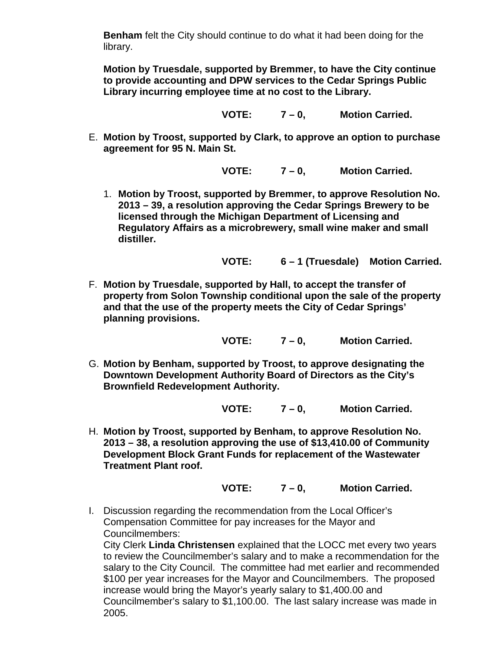**Benham** felt the City should continue to do what it had been doing for the library.

**Motion by Truesdale, supported by Bremmer, to have the City continue to provide accounting and DPW services to the Cedar Springs Public Library incurring employee time at no cost to the Library.**

**VOTE: 7 – 0, Motion Carried.**

E. **Motion by Troost, supported by Clark, to approve an option to purchase agreement for 95 N. Main St.**

**VOTE: 7 – 0, Motion Carried.**

1. **Motion by Troost, supported by Bremmer, to approve Resolution No. 2013 – 39, a resolution approving the Cedar Springs Brewery to be licensed through the Michigan Department of Licensing and Regulatory Affairs as a microbrewery, small wine maker and small distiller.**

**VOTE: 6 – 1 (Truesdale) Motion Carried.**

F. **Motion by Truesdale, supported by Hall, to accept the transfer of property from Solon Township conditional upon the sale of the property and that the use of the property meets the City of Cedar Springs' planning provisions.**

**VOTE: 7 – 0, Motion Carried.**

G. **Motion by Benham, supported by Troost, to approve designating the Downtown Development Authority Board of Directors as the City's Brownfield Redevelopment Authority.**

**VOTE: 7 – 0, Motion Carried.**

H. **Motion by Troost, supported by Benham, to approve Resolution No. 2013 – 38, a resolution approving the use of \$13,410.00 of Community Development Block Grant Funds for replacement of the Wastewater Treatment Plant roof.**

**VOTE: 7 – 0, Motion Carried.**

I. Discussion regarding the recommendation from the Local Officer's Compensation Committee for pay increases for the Mayor and Councilmembers:

City Clerk **Linda Christensen** explained that the LOCC met every two years to review the Councilmember's salary and to make a recommendation for the salary to the City Council. The committee had met earlier and recommended \$100 per year increases for the Mayor and Councilmembers. The proposed increase would bring the Mayor's yearly salary to \$1,400.00 and Councilmember's salary to \$1,100.00. The last salary increase was made in 2005.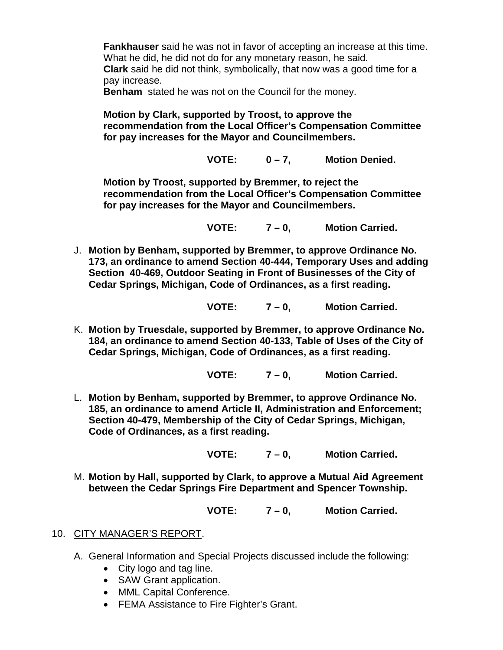**Fankhauser** said he was not in favor of accepting an increase at this time. What he did, he did not do for any monetary reason, he said. **Clark** said he did not think, symbolically, that now was a good time for a pay increase.

**Benham** stated he was not on the Council for the money.

**Motion by Clark, supported by Troost, to approve the recommendation from the Local Officer's Compensation Committee for pay increases for the Mayor and Councilmembers.**

**VOTE: 0 – 7, Motion Denied.**

**Motion by Troost, supported by Bremmer, to reject the recommendation from the Local Officer's Compensation Committee for pay increases for the Mayor and Councilmembers.**

**VOTE: 7 – 0, Motion Carried.**

J. **Motion by Benham, supported by Bremmer, to approve Ordinance No. 173, an ordinance to amend Section 40-444, Temporary Uses and adding Section 40-469, Outdoor Seating in Front of Businesses of the City of Cedar Springs, Michigan, Code of Ordinances, as a first reading.**

**VOTE: 7 – 0, Motion Carried.**

K. **Motion by Truesdale, supported by Bremmer, to approve Ordinance No. 184, an ordinance to amend Section 40-133, Table of Uses of the City of Cedar Springs, Michigan, Code of Ordinances, as a first reading.**

**VOTE: 7 – 0, Motion Carried.**

L. **Motion by Benham, supported by Bremmer, to approve Ordinance No. 185, an ordinance to amend Article II, Administration and Enforcement; Section 40-479, Membership of the City of Cedar Springs, Michigan, Code of Ordinances, as a first reading.**

**VOTE: 7 – 0, Motion Carried.**

M. **Motion by Hall, supported by Clark, to approve a Mutual Aid Agreement between the Cedar Springs Fire Department and Spencer Township.**

**VOTE: 7 – 0, Motion Carried.**

- 10. CITY MANAGER'S REPORT.
	- A. General Information and Special Projects discussed include the following:
		- City logo and tag line.
		- SAW Grant application.
		- MML Capital Conference.
		- FEMA Assistance to Fire Fighter's Grant.